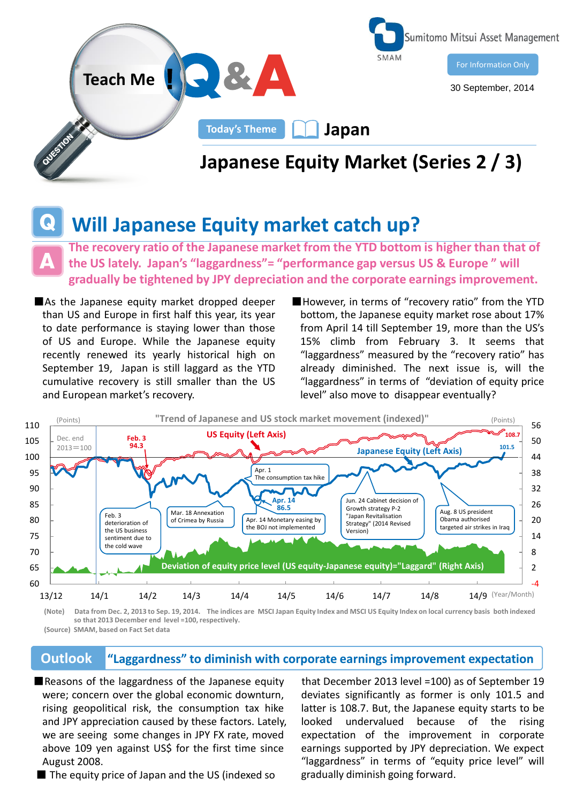

## **Will Japanese Equity market catch up?**

**The recovery ratio of the Japanese market from the YTD bottom is higher than that of the US lately. Japan's "laggardness"= "performance gap versus US & Europe " will gradually be tightened by JPY depreciation and the corporate earnings improvement.** 

- ■As the Japanese equity market dropped deeper than US and Europe in first half this year, its year to date performance is staying lower than those of US and Europe. While the Japanese equity recently renewed its yearly historical high on September 19, Japan is still laggard as the YTD cumulative recovery is still smaller than the US and European market's recovery.
- ■However, in terms of "recovery ratio" from the YTD bottom, the Japanese equity market rose about 17% from April 14 till September 19, more than the US's 15% climb from February 3. It seems that "laggardness" measured by the "recovery ratio" has already diminished. The next issue is, will the "laggardness" in terms of "deviation of equity price level" also move to disappear eventually?



**<sup>(</sup>Note) Data from Dec. 2, 2013 to Sep. 19, 2014. The indices are MSCI Japan Equity Index and MSCI US Equity Index on local currency basis both indexed so that 2013 December end level =100, respectively.**

**(Source) SMAM, based on Fact Set data**

## **Outlook "Laggardness" to diminish with corporate earnings improvement expectation**

■Reasons of the laggardness of the Japanese equity were; concern over the global economic downturn, rising geopolitical risk, the consumption tax hike and JPY appreciation caused by these factors. Lately, we are seeing some changes in JPY FX rate, moved above 109 yen against US\$ for the first time since August 2008.

■ The equity price of Japan and the US (indexed so

 that December 2013 level =100) as of September 19 deviates significantly as former is only 101.5 and latter is 108.7. But, the Japanese equity starts to be looked undervalued because of the rising expectation of the improvement in corporate earnings supported by JPY depreciation. We expect "laggardness" in terms of "equity price level" will gradually diminish going forward.